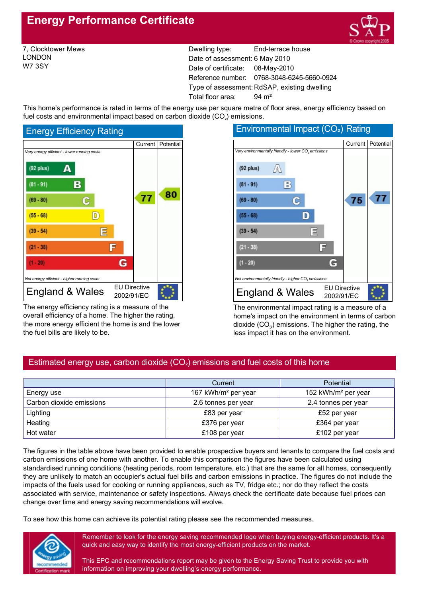# **Energy Performance Certificate**



7, Clocktower Mews LONDON W7 3SY

Dwelling type: End-terrace house Date of assessment: 6 May 2010 Date of certificate: 08-May-2010 Reference number: 0768-3048-6245-5660-0924 Type of assessment: RdSAP, existing dwelling Total floor area: 94 m<sup>2</sup>

This home's performance is rated in terms of the energy use per square metre of floor area, energy efficiency based on fuel costs and environmental impact based on carbon dioxide  $(CO<sub>2</sub>)$  emissions.



The energy efficiency rating is a measure of the overall efficiency of a home. The higher the rating, the more energy efficient the home is and the lower the fuel bills are likely to be.



The environmental impact rating is a measure of a home's impact on the environment in terms of carbon dioxide  $(CO<sub>2</sub>)$  emissions. The higher the rating, the less impact it has on the environment.

# Estimated energy use, carbon dioxide  $(CO<sub>2</sub>)$  emissions and fuel costs of this home

|                          | Current                         | <b>Potential</b>                |
|--------------------------|---------------------------------|---------------------------------|
| Energy use               | 167 kWh/m <sup>2</sup> per year | 152 kWh/m <sup>2</sup> per year |
| Carbon dioxide emissions | 2.6 tonnes per year             | 2.4 tonnes per year             |
| Lighting                 | £83 per year                    | £52 per year                    |
| Heating                  | £376 per year                   | £364 per year                   |
| Hot water                | £108 per year                   | £102 per year                   |

The figures in the table above have been provided to enable prospective buyers and tenants to compare the fuel costs and carbon emissions of one home with another. To enable this comparison the figures have been calculated using standardised running conditions (heating periods, room temperature, etc.) that are the same for all homes, consequently they are unlikely to match an occupier's actual fuel bills and carbon emissions in practice. The figures do not include the impacts of the fuels used for cooking or running appliances, such as TV, fridge etc.; nor do they reflect the costs associated with service, maintenance or safety inspections. Always check the certificate date because fuel prices can change over time and energy saving recommendations will evolve.

To see how this home can achieve its potential rating please see the recommended measures.



Remember to look for the energy saving recommended logo when buying energy-efficient products. It's a quick and easy way to identify the most energy-efficient products on the market.

This EPC and recommendations report may be given to the Energy Saving Trust to provide you with information on improving your dwelling's energy performance.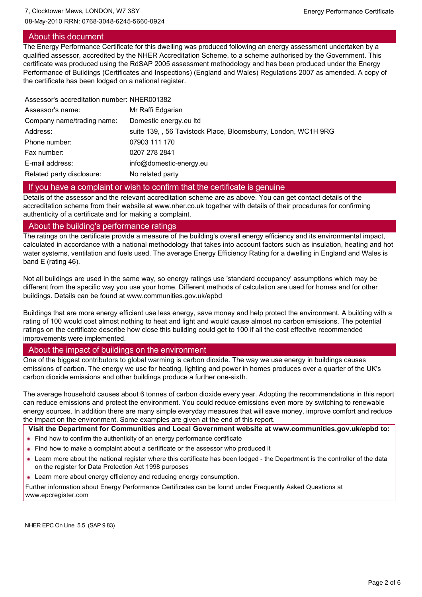# About this document

The Energy Performance Certificate for this dwelling was produced following an energy assessment undertaken by a qualified assessor, accredited by the NHER Accreditation Scheme, to a scheme authorised by the Government. This certificate was produced using the RdSAP 2005 assessment methodology and has been produced under the Energy Performance of Buildings (Certificates and Inspections) (England and Wales) Regulations 2007 as amended. A copy of the certificate has been lodged on a national register.

| Assessor's accreditation number: NHER001382 |                                                                |
|---------------------------------------------|----------------------------------------------------------------|
| Assessor's name:                            | Mr Raffi Edgarian                                              |
| Company name/trading name:                  | Domestic energy eu Itd                                         |
| Address:                                    | suite 139, , 56 Tavistock Place, Bloomsburry, London, WC1H 9RG |
| Phone number:                               | 07903 111 170                                                  |
| Fax number:                                 | 0207 278 2841                                                  |
| E-mail address:                             | info@domestic-energy.eu                                        |
| Related party disclosure:                   | No related party                                               |

## If you have a complaint or wish to confirm that the certificate is genuine

Details of the assessor and the relevant accreditation scheme are as above. You can get contact details of the accreditation scheme from their website at www.nher.co.uk together with details of their procedures for confirming authenticity of a certificate and for making a complaint.

#### About the building's performance ratings

The ratings on the certificate provide a measure of the building's overall energy efficiency and its environmental impact, calculated in accordance with a national methodology that takes into account factors such as insulation, heating and hot water systems, ventilation and fuels used. The average Energy Efficiency Rating for a dwelling in England and Wales is band E (rating 46).

Not all buildings are used in the same way, so energy ratings use 'standard occupancy' assumptions which may be different from the specific way you use your home. Different methods of calculation are used for homes and for other buildings. Details can be found at www.communities.gov.uk/epbd

Buildings that are more energy efficient use less energy, save money and help protect the environment. A building with a rating of 100 would cost almost nothing to heat and light and would cause almost no carbon emissions. The potential ratings on the certificate describe how close this building could get to 100 if all the cost effective recommended improvements were implemented.

## About the impact of buildings on the environment

One of the biggest contributors to global warming is carbon dioxide. The way we use energy in buildings causes emissions of carbon. The energy we use for heating, lighting and power in homes produces over a quarter of the UK's carbon dioxide emissions and other buildings produce a further onesixth.

The average household causes about 6 tonnes of carbon dioxide every year. Adopting the recommendations in this report can reduce emissions and protect the environment. You could reduce emissions even more by switching to renewable energy sources. In addition there are many simple everyday measures that will save money, improve comfort and reduce the impact on the environment. Some examples are given at the end of this report.

**Visit the Department for Communities and Local Government website at www.communities.gov.uk/epbd to:**

- Find how to confirm the authenticity of an energy performance certificate
- Find how to make a complaint about a certificate or the assessor who produced it
- Learn more about the national register where this certificate has been lodged the Department is the controller of the data on the register for Data Protection Act 1998 purposes
- **Learn more about energy efficiency and reducing energy consumption.**

Further information about Energy Performance Certificates can be found under Frequently Asked Questions at www.epcregister.com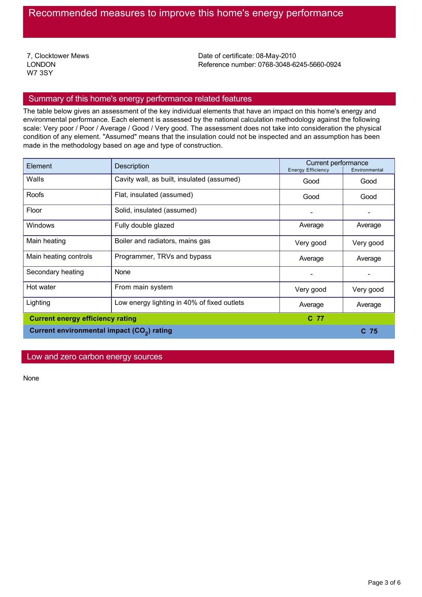7, Clocktower Mews LONDON W7 3SY

Date of certificate: 08-May-2010 Reference number: 0768-3048-6245-5660-0924

# Summary of this home's energy performance related features

The table below gives an assessment of the key individual elements that have an impact on this home's energy and environmental performance. Each element is assessed by the national calculation methodology against the following scale: Very poor / Poor / Average / Good / Very good. The assessment does not take into consideration the physical condition of any element. "Assumed" means that the insulation could not be inspected and an assumption has been made in the methodology based on age and type of construction.

| Element                                                | Description                                 |           | Current performance<br><b>Energy Efficiency</b><br>Environmental |  |
|--------------------------------------------------------|---------------------------------------------|-----------|------------------------------------------------------------------|--|
| Walls                                                  | Cavity wall, as built, insulated (assumed)  | Good      | Good                                                             |  |
| Roofs                                                  | Flat, insulated (assumed)                   | Good      | Good                                                             |  |
| Floor                                                  | Solid, insulated (assumed)                  |           |                                                                  |  |
| Windows                                                | Fully double glazed                         | Average   | Average                                                          |  |
| Main heating                                           | Boiler and radiators, mains gas             | Very good | Very good                                                        |  |
| Main heating controls                                  | Programmer, TRVs and bypass                 | Average   | Average                                                          |  |
| Secondary heating                                      | None                                        |           |                                                                  |  |
| Hot water                                              | From main system                            | Very good | Very good                                                        |  |
| Lighting                                               | Low energy lighting in 40% of fixed outlets | Average   | Average                                                          |  |
| <b>Current energy efficiency rating</b>                |                                             | C 77      |                                                                  |  |
| Current environmental impact (CO <sub>2</sub> ) rating |                                             |           | $C$ 75                                                           |  |

# Low and zero carbon energy sources

None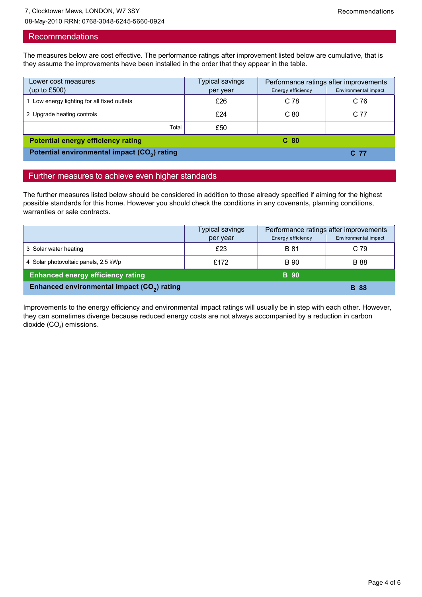08-May-2010 RRN: 0768-3048-6245-5660-0924

#### **Recommendations**

The measures below are cost effective. The performance ratings after improvement listed below are cumulative, that is they assume the improvements have been installed in the order that they appear in the table.

| Lower cost measures                                      | Typical savings | Performance ratings after improvements |                      |
|----------------------------------------------------------|-----------------|----------------------------------------|----------------------|
| (up to $£500$ )                                          | per year        | Energy efficiency                      | Environmental impact |
| 1 Low energy lighting for all fixed outlets              | £26             | C 78                                   | C <sub>76</sub>      |
| 2 Upgrade heating controls                               | £24             | C80                                    | C 77                 |
| Total                                                    | £50             |                                        |                      |
| <b>Potential energy efficiency rating</b>                |                 | C <sub>80</sub>                        |                      |
| Potential environmental impact (CO <sub>2</sub> ) rating |                 |                                        | C 77                 |

# Further measures to achieve even higher standards

The further measures listed below should be considered in addition to those already specified if aiming for the highest possible standards for this home. However you should check the conditions in any covenants, planning conditions, warranties or sale contracts.

|                                                         | Typical savings | Performance ratings after improvements |                      |
|---------------------------------------------------------|-----------------|----------------------------------------|----------------------|
|                                                         | per year        | Energy efficiency                      | Environmental impact |
| 3 Solar water heating                                   | £23             | <b>B</b> 81                            | C 79                 |
| 4 Solar photovoltaic panels, 2.5 kWp                    | £172            | <b>B</b> 90                            | <b>B</b> 88          |
| <b>Enhanced energy efficiency rating</b>                |                 | <b>B</b> 90                            |                      |
| Enhanced environmental impact (CO <sub>2</sub> ) rating |                 |                                        | <b>B</b> 88          |

Improvements to the energy efficiency and environmental impact ratings will usually be in step with each other. However, they can sometimes diverge because reduced energy costs are not always accompanied by a reduction in carbon dioxide  $(CO<sub>2</sub>)$  emissions.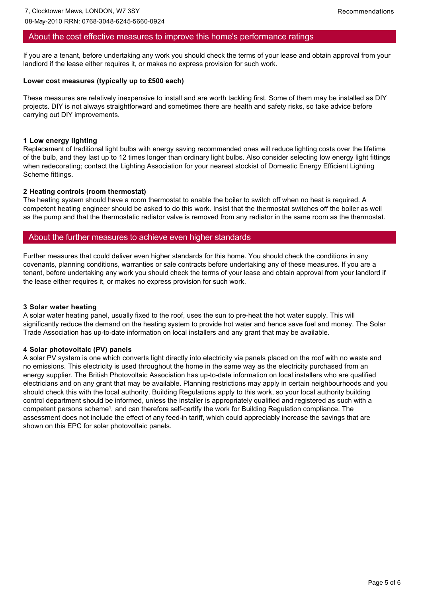# About the cost effective measures to improve this home's performance ratings

If you are a tenant, before undertaking any work you should check the terms of your lease and obtain approval from your landlord if the lease either requires it, or makes no express provision for such work.

#### **Lower cost measures (typically up to £500 each)**

These measures are relatively inexpensive to install and are worth tackling first. Some of them may be installed as DIY projects. DIY is not always straightforward and sometimes there are health and safety risks, so take advice before carrying out DIY improvements.

#### **1 Low energy lighting**

Replacement of traditional light bulbs with energy saving recommended ones will reduce lighting costs over the lifetime of the bulb, and they last up to 12 times longer than ordinary light bulbs. Also consider selecting low energy light fittings when redecorating; contact the Lighting Association for your nearest stockist of Domestic Energy Efficient Lighting Scheme fittings.

#### **2 Heating controls (room thermostat)**

The heating system should have a room thermostat to enable the boiler to switch off when no heat is required. A competent heating engineer should be asked to do this work. Insist that the thermostat switches off the boiler as well as the pump and that the thermostatic radiator valve is removed from any radiator in the same room as the thermostat.

## About the further measures to achieve even higher standards

Further measures that could deliver even higher standards for this home. You should check the conditions in any covenants, planning conditions, warranties or sale contracts before undertaking any of these measures. If you are a tenant, before undertaking any work you should check the terms of your lease and obtain approval from your landlord if the lease either requires it, or makes no express provision for such work.

#### **3 Solar water heating**

A solar water heating panel, usually fixed to the roof, uses the sun to preheat the hot water supply. This will significantly reduce the demand on the heating system to provide hot water and hence save fuel and money. The Solar Trade Association has up-to-date information on local installers and any grant that may be available.

#### **4 Solar photovoltaic (PV) panels**

A solar PV system is one which converts light directly into electricity via panels placed on the roof with no waste and no emissions. This electricity is used throughout the home in the same way as the electricity purchased from an energy supplier. The British Photovoltaic Association has up-to-date information on local installers who are qualified electricians and on any grant that may be available. Planning restrictions may apply in certain neighbourhoods and you should check this with the local authority. Building Regulations apply to this work, so your local authority building control department should be informed, unless the installer is appropriately qualified and registered as such with a competent persons scheme<sup>1</sup>, and can therefore self-certify the work for Building Regulation compliance. The assessment does not include the effect of any feed-in tariff, which could appreciably increase the savings that are shown on this EPC for solar photovoltaic panels.